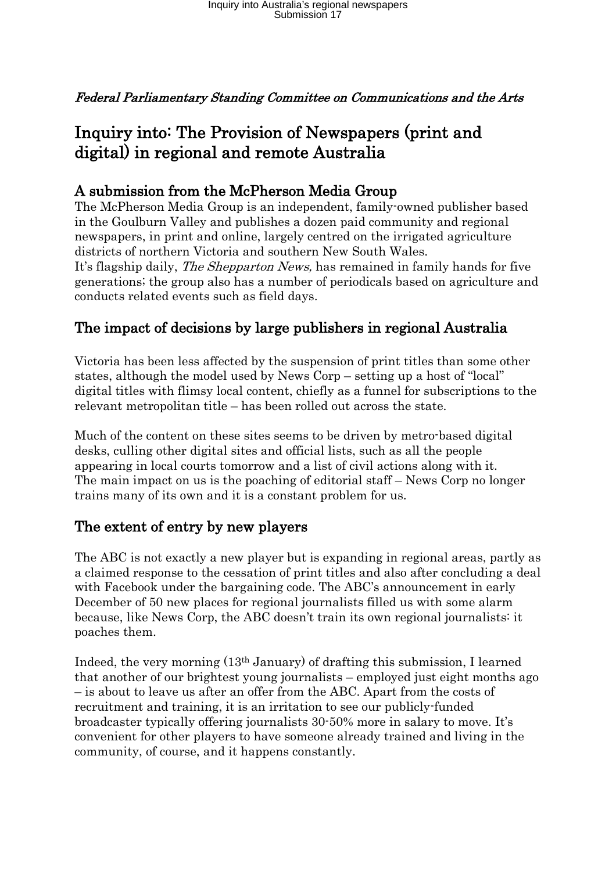Federal Parliamentary Standing Committee on Communications and the Arts

## Inquiry into: The Provision of Newspapers (print and digital) in regional and remote Australia

## A submission from the McPherson Media Group

The McPherson Media Group is an independent, family-owned publisher based in the Goulburn Valley and publishes a dozen paid community and regional newspapers, in print and online, largely centred on the irrigated agriculture districts of northern Victoria and southern New South Wales. It's flagship daily, *The Shepparton News*, has remained in family hands for five generations; the group also has a number of periodicals based on agriculture and conducts related events such as field days.

## The impact of decisions by large publishers in regional Australia

Victoria has been less affected by the suspension of print titles than some other states, although the model used by News Corp – setting up a host of "local" digital titles with flimsy local content, chiefly as a funnel for subscriptions to the relevant metropolitan title – has been rolled out across the state.

Much of the content on these sites seems to be driven by metro-based digital desks, culling other digital sites and official lists, such as all the people appearing in local courts tomorrow and a list of civil actions along with it. The main impact on us is the poaching of editorial staff – News Corp no longer trains many of its own and it is a constant problem for us.

## The extent of entry by new players

The ABC is not exactly a new player but is expanding in regional areas, partly as a claimed response to the cessation of print titles and also after concluding a deal with Facebook under the bargaining code. The ABC's announcement in early December of 50 new places for regional journalists filled us with some alarm because, like News Corp, the ABC doesn't train its own regional journalists: it poaches them.

Indeed, the very morning (13th January) of drafting this submission, I learned that another of our brightest young journalists – employed just eight months ago – is about to leave us after an offer from the ABC. Apart from the costs of recruitment and training, it is an irritation to see our publicly-funded broadcaster typically offering journalists 30-50% more in salary to move. It's convenient for other players to have someone already trained and living in the community, of course, and it happens constantly.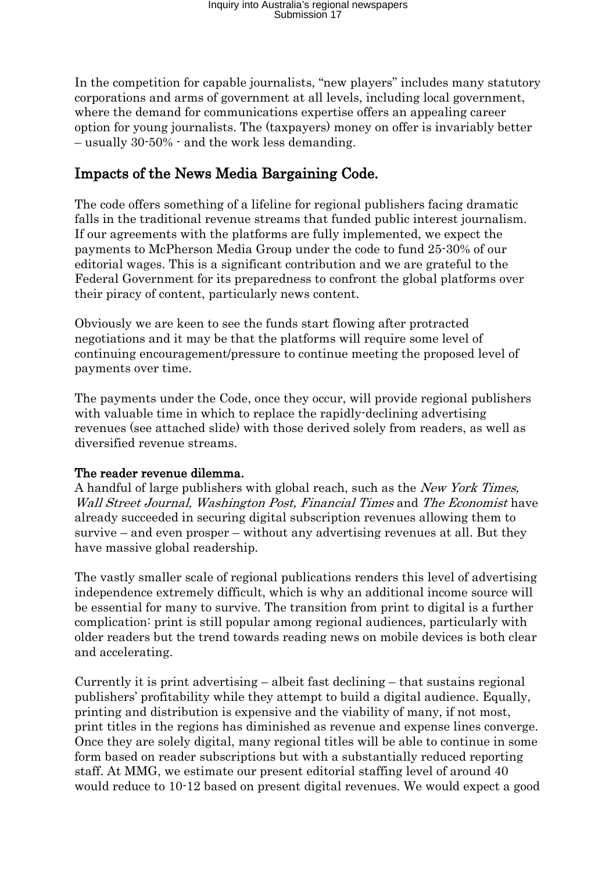In the competition for capable journalists, "new players" includes many statutory corporations and arms of government at all levels, including local government, where the demand for communications expertise offers an appealing career option for young journalists. The (taxpayers) money on offer is invariably better – usually 30-50% - and the work less demanding.

## Impacts of the News Media Bargaining Code.

The code offers something of a lifeline for regional publishers facing dramatic falls in the traditional revenue streams that funded public interest journalism. If our agreements with the platforms are fully implemented, we expect the payments to McPherson Media Group under the code to fund 25-30% of our editorial wages. This is a significant contribution and we are grateful to the Federal Government for its preparedness to confront the global platforms over their piracy of content, particularly news content.

Obviously we are keen to see the funds start flowing after protracted negotiations and it may be that the platforms will require some level of continuing encouragement/pressure to continue meeting the proposed level of payments over time.

The payments under the Code, once they occur, will provide regional publishers with valuable time in which to replace the rapidly-declining advertising revenues (see attached slide) with those derived solely from readers, as well as diversified revenue streams.

#### The reader revenue dilemma.

A handful of large publishers with global reach, such as the New York Times, Wall Street Journal, Washington Post, Financial Times and The Economist have already succeeded in securing digital subscription revenues allowing them to survive – and even prosper – without any advertising revenues at all. But they have massive global readership.

The vastly smaller scale of regional publications renders this level of advertising independence extremely difficult, which is why an additional income source will be essential for many to survive. The transition from print to digital is a further complication: print is still popular among regional audiences, particularly with older readers but the trend towards reading news on mobile devices is both clear and accelerating.

Currently it is print advertising – albeit fast declining – that sustains regional publishers' profitability while they attempt to build a digital audience. Equally, printing and distribution is expensive and the viability of many, if not most, print titles in the regions has diminished as revenue and expense lines converge. Once they are solely digital, many regional titles will be able to continue in some form based on reader subscriptions but with a substantially reduced reporting staff. At MMG, we estimate our present editorial staffing level of around 40 would reduce to 10-12 based on present digital revenues. We would expect a good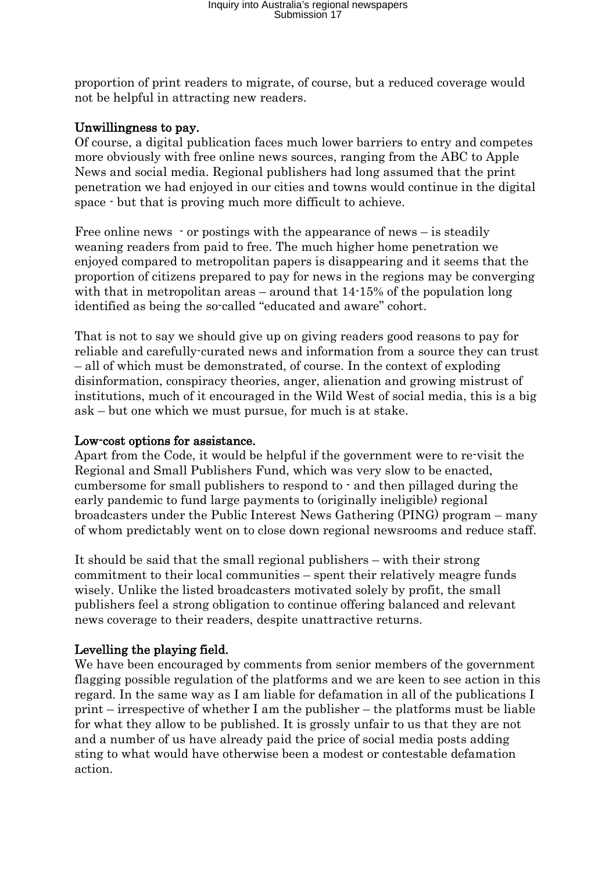proportion of print readers to migrate, of course, but a reduced coverage would not be helpful in attracting new readers.

#### Unwillingness to pay.

Of course, a digital publication faces much lower barriers to entry and competes more obviously with free online news sources, ranging from the ABC to Apple News and social media. Regional publishers had long assumed that the print penetration we had enjoyed in our cities and towns would continue in the digital space - but that is proving much more difficult to achieve.

Free online news - or postings with the appearance of news – is steadily weaning readers from paid to free. The much higher home penetration we enjoyed compared to metropolitan papers is disappearing and it seems that the proportion of citizens prepared to pay for news in the regions may be converging with that in metropolitan areas – around that  $14-15%$  of the population long identified as being the so-called "educated and aware" cohort.

That is not to say we should give up on giving readers good reasons to pay for reliable and carefully-curated news and information from a source they can trust – all of which must be demonstrated, of course. In the context of exploding disinformation, conspiracy theories, anger, alienation and growing mistrust of institutions, much of it encouraged in the Wild West of social media, this is a big ask – but one which we must pursue, for much is at stake.

#### Low-cost options for assistance.

Apart from the Code, it would be helpful if the government were to re-visit the Regional and Small Publishers Fund, which was very slow to be enacted, cumbersome for small publishers to respond to - and then pillaged during the early pandemic to fund large payments to (originally ineligible) regional broadcasters under the Public Interest News Gathering (PING) program – many of whom predictably went on to close down regional newsrooms and reduce staff.

It should be said that the small regional publishers – with their strong commitment to their local communities – spent their relatively meagre funds wisely. Unlike the listed broadcasters motivated solely by profit, the small publishers feel a strong obligation to continue offering balanced and relevant news coverage to their readers, despite unattractive returns.

#### Levelling the playing field.

We have been encouraged by comments from senior members of the government flagging possible regulation of the platforms and we are keen to see action in this regard. In the same way as I am liable for defamation in all of the publications I print – irrespective of whether I am the publisher – the platforms must be liable for what they allow to be published. It is grossly unfair to us that they are not and a number of us have already paid the price of social media posts adding sting to what would have otherwise been a modest or contestable defamation action.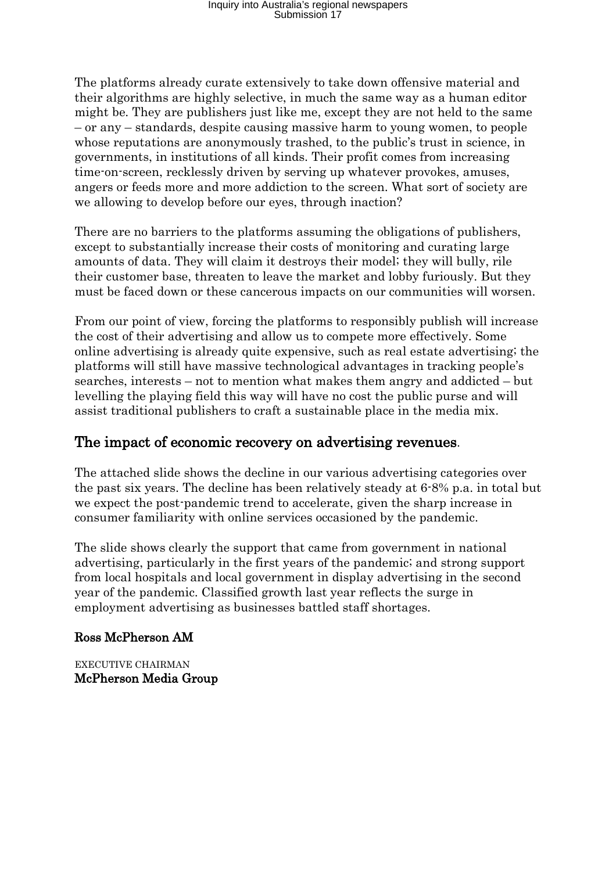The platforms already curate extensively to take down offensive material and their algorithms are highly selective, in much the same way as a human editor might be. They are publishers just like me, except they are not held to the same – or any – standards, despite causing massive harm to young women, to people whose reputations are anonymously trashed, to the public's trust in science, in governments, in institutions of all kinds. Their profit comes from increasing time-on-screen, recklessly driven by serving up whatever provokes, amuses, angers or feeds more and more addiction to the screen. What sort of society are we allowing to develop before our eyes, through inaction?

There are no barriers to the platforms assuming the obligations of publishers, except to substantially increase their costs of monitoring and curating large amounts of data. They will claim it destroys their model; they will bully, rile their customer base, threaten to leave the market and lobby furiously. But they must be faced down or these cancerous impacts on our communities will worsen.

From our point of view, forcing the platforms to responsibly publish will increase the cost of their advertising and allow us to compete more effectively. Some online advertising is already quite expensive, such as real estate advertising; the platforms will still have massive technological advantages in tracking people's searches, interests – not to mention what makes them angry and addicted – but levelling the playing field this way will have no cost the public purse and will assist traditional publishers to craft a sustainable place in the media mix.

### The impact of economic recovery on advertising revenues.

The attached slide shows the decline in our various advertising categories over the past six years. The decline has been relatively steady at 6-8% p.a. in total but we expect the post-pandemic trend to accelerate, given the sharp increase in consumer familiarity with online services occasioned by the pandemic.

The slide shows clearly the support that came from government in national advertising, particularly in the first years of the pandemic; and strong support from local hospitals and local government in display advertising in the second year of the pandemic. Classified growth last year reflects the surge in employment advertising as businesses battled staff shortages.

#### Ross McPherson AM

EXECUTIVE CHAIRMAN McPherson Media Group